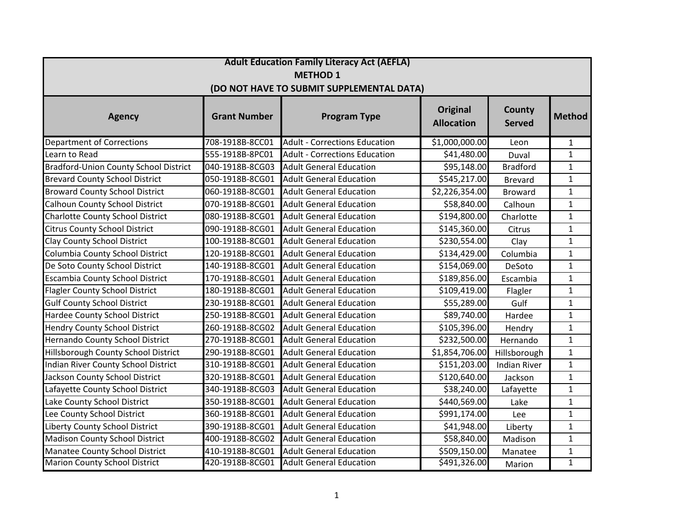| <b>Adult Education Family Literacy Act (AEFLA)</b> |                     |                                      |                                      |                                |                |  |  |  |
|----------------------------------------------------|---------------------|--------------------------------------|--------------------------------------|--------------------------------|----------------|--|--|--|
| <b>METHOD 1</b>                                    |                     |                                      |                                      |                                |                |  |  |  |
| (DO NOT HAVE TO SUBMIT SUPPLEMENTAL DATA)          |                     |                                      |                                      |                                |                |  |  |  |
| <b>Agency</b>                                      | <b>Grant Number</b> | <b>Program Type</b>                  | <b>Original</b><br><b>Allocation</b> | <b>County</b><br><b>Served</b> | <b>Method</b>  |  |  |  |
| <b>Department of Corrections</b>                   | 708-1918B-8CC01     | <b>Adult - Corrections Education</b> | \$1,000,000.00                       | Leon                           | $\mathbf{1}$   |  |  |  |
| Learn to Read                                      | 555-1918B-8PC01     | <b>Adult - Corrections Education</b> | \$41,480.00                          | Duval                          | $\mathbf{1}$   |  |  |  |
| <b>Bradford-Union County School District</b>       | 040-1918B-8CG03     | <b>Adult General Education</b>       | \$95,148.00                          | <b>Bradford</b>                | $\mathbf{1}$   |  |  |  |
| <b>Brevard County School District</b>              | 050-1918B-8CG01     | <b>Adult General Education</b>       | \$545,217.00                         | <b>Brevard</b>                 | $\mathbf 1$    |  |  |  |
| <b>Broward County School District</b>              | 060-1918B-8CG01     | <b>Adult General Education</b>       | \$2,226,354.00                       | <b>Broward</b>                 | $\mathbf{1}$   |  |  |  |
| <b>Calhoun County School District</b>              | 070-1918B-8CG01     | <b>Adult General Education</b>       | \$58,840.00                          | Calhoun                        | $\mathbf{1}$   |  |  |  |
| <b>Charlotte County School District</b>            | 080-1918B-8CG01     | <b>Adult General Education</b>       | \$194,800.00                         | Charlotte                      | $\mathbf{1}$   |  |  |  |
| <b>Citrus County School District</b>               | 090-1918B-8CG01     | <b>Adult General Education</b>       | \$145,360.00                         | Citrus                         | $\mathbf{1}$   |  |  |  |
| <b>Clay County School District</b>                 | 100-1918B-8CG01     | <b>Adult General Education</b>       | \$230,554.00                         | Clay                           | $\mathbf{1}$   |  |  |  |
| Columbia County School District                    | 120-1918B-8CG01     | <b>Adult General Education</b>       | \$134,429.00                         | Columbia                       | $\mathbf{1}$   |  |  |  |
| De Soto County School District                     | 140-1918B-8CG01     | <b>Adult General Education</b>       | \$154,069.00                         | DeSoto                         | $\mathbf{1}$   |  |  |  |
| <b>Escambia County School District</b>             | 170-1918B-8CG01     | <b>Adult General Education</b>       | \$189,856.00                         | Escambia                       | $\mathbf{1}$   |  |  |  |
| <b>Flagler County School District</b>              | 180-1918B-8CG01     | <b>Adult General Education</b>       | \$109,419.00                         | Flagler                        | $\mathbf{1}$   |  |  |  |
| <b>Gulf County School District</b>                 | 230-1918B-8CG01     | <b>Adult General Education</b>       | \$55,289.00                          | Gulf                           | $\mathbf{1}$   |  |  |  |
| Hardee County School District                      | 250-1918B-8CG01     | <b>Adult General Education</b>       | \$89,740.00                          | Hardee                         | $\mathbf{1}$   |  |  |  |
| <b>Hendry County School District</b>               | 260-1918B-8CG02     | <b>Adult General Education</b>       | \$105,396.00                         | Hendry                         | $\mathbf 1$    |  |  |  |
| Hernando County School District                    | 270-1918B-8CG01     | <b>Adult General Education</b>       | \$232,500.00                         | Hernando                       | $\mathbf{1}$   |  |  |  |
| Hillsborough County School District                | 290-1918B-8CG01     | <b>Adult General Education</b>       | \$1,854,706.00                       | Hillsborough                   | $\mathbf{1}$   |  |  |  |
| Indian River County School District                | 310-1918B-8CG01     | <b>Adult General Education</b>       | \$151,203.00                         | <b>Indian River</b>            | $\mathbf{1}$   |  |  |  |
| Jackson County School District                     | 320-1918B-8CG01     | <b>Adult General Education</b>       | \$120,640.00                         | Jackson                        | $\mathbf{1}$   |  |  |  |
| Lafayette County School District                   | 340-1918B-8CG03     | <b>Adult General Education</b>       | \$38,240.00                          | Lafayette                      | $\mathbf{1}$   |  |  |  |
| Lake County School District                        | 350-1918B-8CG01     | <b>Adult General Education</b>       | \$440,569.00                         | Lake                           | $\mathbf 1$    |  |  |  |
| Lee County School District                         | 360-1918B-8CG01     | <b>Adult General Education</b>       | \$991,174.00                         | Lee                            | $\mathbf{1}$   |  |  |  |
| Liberty County School District                     | 390-1918B-8CG01     | <b>Adult General Education</b>       | \$41,948.00                          | Liberty                        | $\mathbf{1}$   |  |  |  |
| <b>Madison County School District</b>              | 400-1918B-8CG02     | <b>Adult General Education</b>       | \$58,840.00                          | Madison                        | $\mathbf{1}$   |  |  |  |
| Manatee County School District                     | 410-1918B-8CG01     | <b>Adult General Education</b>       | \$509,150.00                         | Manatee                        | $\mathbf{1}$   |  |  |  |
| <b>Marion County School District</b>               | 420-1918B-8CG01     | <b>Adult General Education</b>       | \$491,326.00                         | Marion                         | $\overline{1}$ |  |  |  |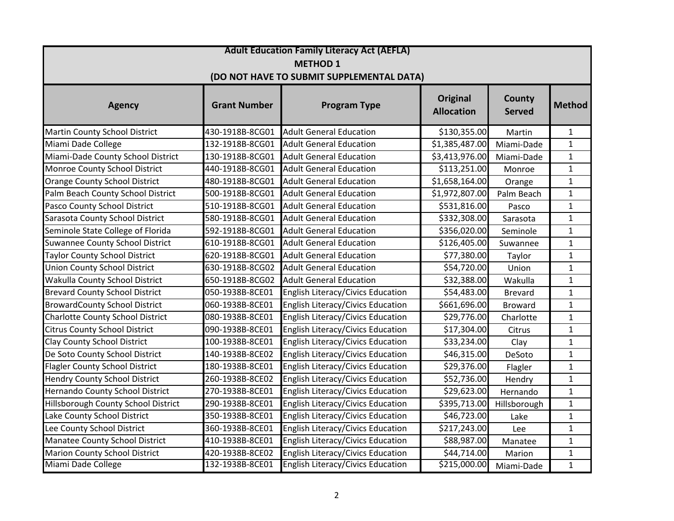| <b>Adult Education Family Literacy Act (AEFLA)</b>           |                 |                                          |                |                |              |  |  |  |
|--------------------------------------------------------------|-----------------|------------------------------------------|----------------|----------------|--------------|--|--|--|
| <b>METHOD 1</b><br>(DO NOT HAVE TO SUBMIT SUPPLEMENTAL DATA) |                 |                                          |                |                |              |  |  |  |
|                                                              |                 |                                          |                |                |              |  |  |  |
| Martin County School District                                | 430-1918B-8CG01 | <b>Adult General Education</b>           | \$130,355.00   | Martin         | $\mathbf{1}$ |  |  |  |
| Miami Dade College                                           | 132-1918B-8CG01 | <b>Adult General Education</b>           | \$1,385,487.00 | Miami-Dade     | $\mathbf{1}$ |  |  |  |
| Miami-Dade County School District                            | 130-1918B-8CG01 | <b>Adult General Education</b>           | \$3,413,976.00 | Miami-Dade     | $\mathbf{1}$ |  |  |  |
| Monroe County School District                                | 440-1918B-8CG01 | <b>Adult General Education</b>           | \$113,251.00   | Monroe         | $\mathbf{1}$ |  |  |  |
| <b>Orange County School District</b>                         | 480-1918B-8CG01 | <b>Adult General Education</b>           | \$1,658,164.00 | Orange         | $\mathbf{1}$ |  |  |  |
| Palm Beach County School District                            | 500-1918B-8CG01 | <b>Adult General Education</b>           | \$1,972,807.00 | Palm Beach     | $\mathbf{1}$ |  |  |  |
| Pasco County School District                                 | 510-1918B-8CG01 | <b>Adult General Education</b>           | \$531,816.00   | Pasco          | $\mathbf{1}$ |  |  |  |
| Sarasota County School District                              | 580-1918B-8CG01 | <b>Adult General Education</b>           | \$332,308.00   | Sarasota       | $\mathbf{1}$ |  |  |  |
| Seminole State College of Florida                            | 592-1918B-8CG01 | <b>Adult General Education</b>           | \$356,020.00   | Seminole       | $\mathbf{1}$ |  |  |  |
| <b>Suwannee County School District</b>                       | 610-1918B-8CG01 | <b>Adult General Education</b>           | \$126,405.00   | Suwannee       | $\mathbf{1}$ |  |  |  |
| <b>Taylor County School District</b>                         | 620-1918B-8CG01 | <b>Adult General Education</b>           | \$77,380.00    | Taylor         | $\mathbf{1}$ |  |  |  |
| <b>Union County School District</b>                          | 630-1918B-8CG02 | <b>Adult General Education</b>           | \$54,720.00    | Union          | $\mathbf{1}$ |  |  |  |
| Wakulla County School District                               | 650-1918B-8CG02 | <b>Adult General Education</b>           | \$32,388.00    | Wakulla        | $\mathbf{1}$ |  |  |  |
| <b>Brevard County School District</b>                        | 050-1938B-8CE01 | English Literacy/Civics Education        | \$54,483.00    | <b>Brevard</b> | $\mathbf{1}$ |  |  |  |
| <b>BrowardCounty School District</b>                         | 060-1938B-8CE01 | <b>English Literacy/Civics Education</b> | \$661,696.00   | <b>Broward</b> | $\mathbf{1}$ |  |  |  |
| <b>Charlotte County School District</b>                      | 080-1938B-8CE01 | English Literacy/Civics Education        | \$29,776.00    | Charlotte      | $\mathbf{1}$ |  |  |  |
| <b>Citrus County School District</b>                         | 090-1938B-8CE01 | English Literacy/Civics Education        | \$17,304.00    | Citrus         | $\mathbf{1}$ |  |  |  |
| <b>Clay County School District</b>                           | 100-1938B-8CE01 | <b>English Literacy/Civics Education</b> | \$33,234.00    | Clay           | $\mathbf{1}$ |  |  |  |
| De Soto County School District                               | 140-1938B-8CE02 | English Literacy/Civics Education        | \$46,315.00    | DeSoto         | $\mathbf{1}$ |  |  |  |
| <b>Flagler County School District</b>                        | 180-1938B-8CE01 | English Literacy/Civics Education        | \$29,376.00    | Flagler        | $\mathbf{1}$ |  |  |  |
| <b>Hendry County School District</b>                         | 260-1938B-8CE02 | English Literacy/Civics Education        | \$52,736.00    | Hendry         | $\mathbf{1}$ |  |  |  |
| Hernando County School District                              | 270-1938B-8CE01 | English Literacy/Civics Education        | \$29,623.00    | Hernando       | $\mathbf{1}$ |  |  |  |
| Hillsborough County School District                          | 290-1938B-8CE01 | <b>English Literacy/Civics Education</b> | \$395,713.00   | Hillsborough   | $\mathbf{1}$ |  |  |  |
| Lake County School District                                  | 350-1938B-8CE01 | English Literacy/Civics Education        | \$46,723.00    | Lake           | $\mathbf{1}$ |  |  |  |
| Lee County School District                                   | 360-1938B-8CE01 | English Literacy/Civics Education        | \$217,243.00   | Lee            | $\mathbf{1}$ |  |  |  |
| Manatee County School District                               | 410-1938B-8CE01 | <b>English Literacy/Civics Education</b> | \$88,987.00    | Manatee        | $\mathbf{1}$ |  |  |  |
| <b>Marion County School District</b>                         | 420-1938B-8CE02 | English Literacy/Civics Education        | \$44,714.00    | Marion         | $\mathbf{1}$ |  |  |  |
| Miami Dade College                                           | 132-1938B-8CE01 | English Literacy/Civics Education        | \$215,000.00   | Miami-Dade     | $\mathbf{1}$ |  |  |  |